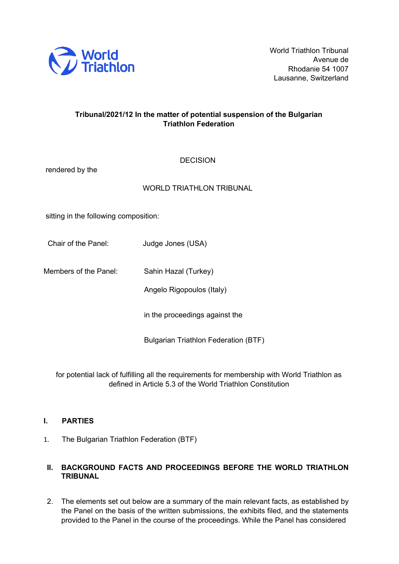

# **Tribunal/2021/12 In the matter of potential suspension of the Bulgarian Triathlon Federation**

**DECISION** 

| rendered by the                       |                                             |
|---------------------------------------|---------------------------------------------|
|                                       | <b>WORLD TRIATHLON TRIBUNAL</b>             |
| sitting in the following composition: |                                             |
| Chair of the Panel:                   | Judge Jones (USA)                           |
| Members of the Panel:                 | Sahin Hazal (Turkey)                        |
|                                       | Angelo Rigopoulos (Italy)                   |
|                                       | in the proceedings against the              |
|                                       | <b>Bulgarian Triathlon Federation (BTF)</b> |

for potential lack of fulfilling all the requirements for membership with World Triathlon as defined in Article 5.3 of the World Triathlon Constitution

# **I. PARTIES**

1. The Bulgarian Triathlon Federation (BTF)

# **II. BACKGROUND FACTS AND PROCEEDINGS BEFORE THE WORLD TRIATHLON TRIBUNAL**

2. The elements set out below are a summary of the main relevant facts, as established by the Panel on the basis of the written submissions, the exhibits filed, and the statements provided to the Panel in the course of the proceedings. While the Panel has considered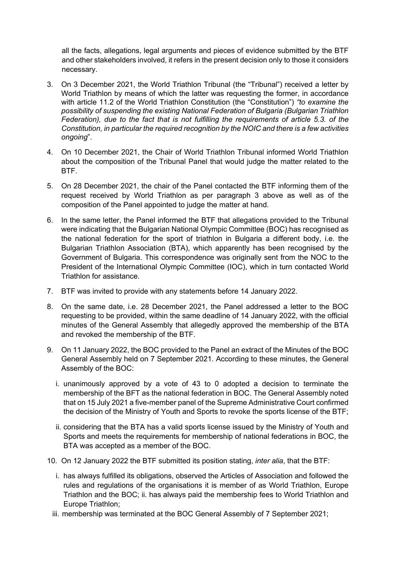all the facts, allegations, legal arguments and pieces of evidence submitted by the BTF and other stakeholders involved, it refers in the present decision only to those it considers necessary.

- 3. On 3 December 2021, the World Triathlon Tribunal (the "Tribunal") received a letter by World Triathlon by means of which the latter was requesting the former, in accordance with article 11.2 of the World Triathlon Constitution (the "Constitution") *"to examine the possibility of suspending the existing National Federation of Bulgaria (Bulgarian Triathlon Federation), due to the fact that is not fulfilling the requirements of article 5.3. of the Constitution, in particular the required recognition by the NOIC and there is a few activities ongoing*".
- 4. On 10 December 2021, the Chair of World Triathlon Tribunal informed World Triathlon about the composition of the Tribunal Panel that would judge the matter related to the BTF.
- 5. On 28 December 2021, the chair of the Panel contacted the BTF informing them of the request received by World Triathlon as per paragraph 3 above as well as of the composition of the Panel appointed to judge the matter at hand.
- 6. In the same letter, the Panel informed the BTF that allegations provided to the Tribunal were indicating that the Bulgarian National Olympic Committee (BOC) has recognised as the national federation for the sport of triathlon in Bulgaria a different body, i.e. the Bulgarian Triathlon Association (BTA), which apparently has been recognised by the Government of Bulgaria. This correspondence was originally sent from the NOC to the President of the International Olympic Committee (IOC), which in turn contacted World Triathlon for assistance.
- 7. BTF was invited to provide with any statements before 14 January 2022.
- 8. On the same date, i.e. 28 December 2021, the Panel addressed a letter to the BOC requesting to be provided, within the same deadline of 14 January 2022, with the official minutes of the General Assembly that allegedly approved the membership of the BTA and revoked the membership of the BTF.
- 9. On 11 January 2022, the BOC provided to the Panel an extract of the Minutes of the BOC General Assembly held on 7 September 2021. According to these minutes, the General Assembly of the BOC:
	- i. unanimously approved by a vote of 43 to 0 adopted a decision to terminate the membership of the BFT as the national federation in BOC. The General Assembly noted that on 15 July 2021 a five-member panel of the Supreme Administrative Court confirmed the decision of the Ministry of Youth and Sports to revoke the sports license of the BTF;
	- ii. considering that the BTA has a valid sports license issued by the Ministry of Youth and Sports and meets the requirements for membership of national federations in BOC, the BTA was accepted as a member of the BOC.
- 10. On 12 January 2022 the BTF submitted its position stating, *inter alia*, that the BTF:
	- i. has always fulfilled its obligations, observed the Articles of Association and followed the rules and regulations of the organisations it is member of as World Triathlon, Europe Triathlon and the BOC; ii. has always paid the membership fees to World Triathlon and Europe Triathlon;
	- iii. membership was terminated at the BOC General Assembly of 7 September 2021;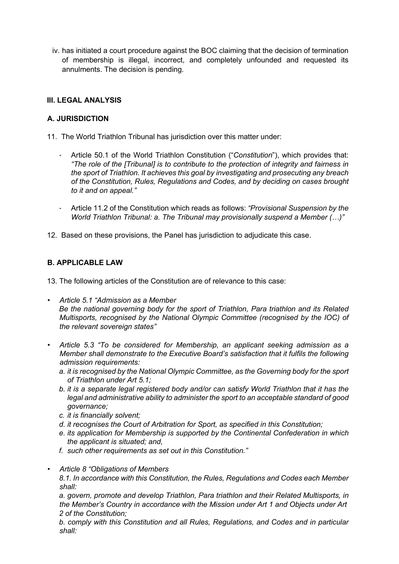iv. has initiated a court procedure against the BOC claiming that the decision of termination of membership is illegal, incorrect, and completely unfounded and requested its annulments. The decision is pending.

### **III. LEGAL ANALYSIS**

## **A. JURISDICTION**

- 11. The World Triathlon Tribunal has jurisdiction over this matter under:
	- Article 50.1 of the World Triathlon Constitution ("*Constitution*"), which provides that: *"The role of the [Tribunal] is to contribute to the protection of integrity and fairness in the sport of Triathlon. It achieves this goal by investigating and prosecuting any breach of the Constitution, Rules, Regulations and Codes, and by deciding on cases brought to it and on appeal."*
	- Article 11.2 of the Constitution which reads as follows: *"Provisional Suspension by the World Triathlon Tribunal: a. The Tribunal may provisionally suspend a Member (…)"*
- 12. Based on these provisions, the Panel has jurisdiction to adjudicate this case.

## **B. APPLICABLE LAW**

13. The following articles of the Constitution are of relevance to this case:

- *Article 5.1 "Admission as a Member Be the national governing body for the sport of Triathlon, Para triathlon and its Related Multisports, recognised by the National Olympic Committee (recognised by the IOC) of the relevant sovereign states"*
- *Article 5.3 "To be considered for Membership, an applicant seeking admission as a Member shall demonstrate to the Executive Board's satisfaction that it fulfils the following admission requirements:* 
	- *a. it is recognised by the National Olympic Committee, as the Governing body for the sport of Triathlon under Art 5.1;*
	- *b. it is a separate legal registered body and/or can satisfy World Triathlon that it has the legal and administrative ability to administer the sport to an acceptable standard of good governance;*
	- *c. it is financially solvent;*
	- *d. it recognises the Court of Arbitration for Sport, as specified in this Constitution;*
	- *e. its application for Membership is supported by the Continental Confederation in which the applicant is situated; and,*
	- *f. such other requirements as set out in this Constitution."*
- *Article 8 "Obligations of Members*

*8.1. In accordance with this Constitution, the Rules, Regulations and Codes each Member shall:* 

*a. govern, promote and develop Triathlon, Para triathlon and their Related Multisports, in the Member's Country in accordance with the Mission under Art 1 and Objects under Art 2 of the Constitution;* 

*b. comply with this Constitution and all Rules, Regulations, and Codes and in particular shall:*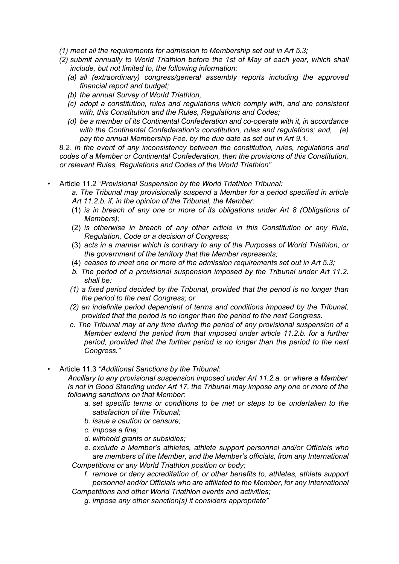- *(1) meet all the requirements for admission to Membership set out in Art 5.3;*
- *(2) submit annually to World Triathlon before the 1st of May of each year, which shall include, but not limited to, the following information:* 
	- *(a) all (extraordinary) congress/general assembly reports including the approved financial report and budget;*
	- *(b) the annual Survey of World Triathlon,*
	- *(c) adopt a constitution, rules and regulations which comply with, and are consistent with, this Constitution and the Rules, Regulations and Codes;*
	- *(d) be a member of its Continental Confederation and co-operate with it, in accordance with the Continental Confederation's constitution, rules and regulations; and, (e) pay the annual Membership Fee, by the due date as set out in Art 9.1.*

*8.2. In the event of any inconsistency between the constitution, rules, regulations and codes of a Member or Continental Confederation, then the provisions of this Constitution, or relevant Rules, Regulations and Codes of the World Triathlon"* 

- Article 11.2 "*Provisional Suspension by the World Triathlon Tribunal:* 
	- *a. The Tribunal may provisionally suspend a Member for a period specified in article Art 11.2.b. if, in the opinion of the Tribunal, the Member:*
	- (1) *is in breach of any one or more of its obligations under Art 8 (Obligations of Members);*
	- (2) *is otherwise in breach of any other article in this Constitution or any Rule, Regulation, Code or a decision of Congress;*
	- (3) *acts in a manner which is contrary to any of the Purposes of World Triathlon, or the government of the territory that the Member represents;*
	- (4) *ceases to meet one or more of the admission requirements set out in Art 5.3;*
	- *b. The period of a provisional suspension imposed by the Tribunal under Art 11.2. shall be:*
	- *(1) a fixed period decided by the Tribunal, provided that the period is no longer than the period to the next Congress; or*
	- *(2) an indefinite period dependent of terms and conditions imposed by the Tribunal, provided that the period is no longer than the period to the next Congress.*
	- *c. The Tribunal may at any time during the period of any provisional suspension of a Member extend the period from that imposed under article 11.2.b. for a further period, provided that the further period is no longer than the period to the next Congress."*
- Article 11.3 *"Additional Sanctions by the Tribunal:*

*Ancillary to any provisional suspension imposed under Art 11.2.a. or where a Member is not in Good Standing under Art 17, the Tribunal may impose any one or more of the following sanctions on that Member:* 

- *a. set specific terms or conditions to be met or steps to be undertaken to the satisfaction of the Tribunal;*
- *b. issue a caution or censure;*
- *c. impose a fine;*
- *d. withhold grants or subsidies;*
- *e. exclude a Member's athletes, athlete support personnel and/or Officials who are members of the Member, and the Member's officials, from any International Competitions or any World Triathlon position or body;* 
	- *f. remove or deny accreditation of, or other benefits to, athletes, athlete support personnel and/or Officials who are affiliated to the Member, for any International*

*Competitions and other World Triathlon events and activities; g. impose any other sanction(s) it considers appropriate"*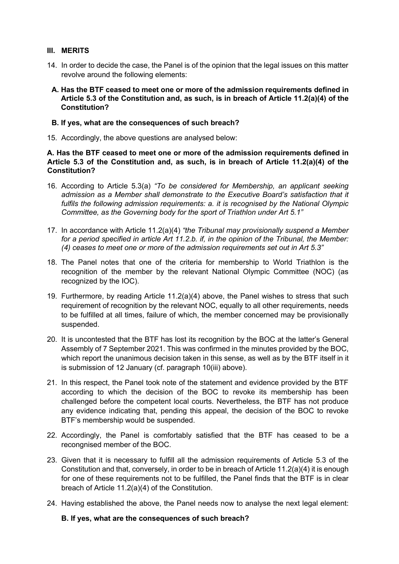#### **III. MERITS**

- 14. In order to decide the case, the Panel is of the opinion that the legal issues on this matter revolve around the following elements:
- **A. Has the BTF ceased to meet one or more of the admission requirements defined in Article 5.3 of the Constitution and, as such, is in breach of Article 11.2(a)(4) of the Constitution?**

#### **B. If yes, what are the consequences of such breach?**

15. Accordingly, the above questions are analysed below:

#### **A. Has the BTF ceased to meet one or more of the admission requirements defined in Article 5.3 of the Constitution and, as such, is in breach of Article 11.2(a)(4) of the Constitution?**

- 16. According to Article 5.3(a) *"To be considered for Membership, an applicant seeking*  admission as a Member shall demonstrate to the Executive Board's satisfaction that it *fulfils the following admission requirements: a. it is recognised by the National Olympic Committee, as the Governing body for the sport of Triathlon under Art 5.1"*
- 17. In accordance with Article 11.2(a)(4) *"the Tribunal may provisionally suspend a Member for a period specified in article Art 11.2.b. if, in the opinion of the Tribunal, the Member: (4) ceases to meet one or more of the admission requirements set out in Art 5.3"*
- 18. The Panel notes that one of the criteria for membership to World Triathlon is the recognition of the member by the relevant National Olympic Committee (NOC) (as recognized by the IOC).
- 19. Furthermore, by reading Article 11.2(a)(4) above, the Panel wishes to stress that such requirement of recognition by the relevant NOC, equally to all other requirements, needs to be fulfilled at all times, failure of which, the member concerned may be provisionally suspended.
- 20. It is uncontested that the BTF has lost its recognition by the BOC at the latter's General Assembly of 7 September 2021. This was confirmed in the minutes provided by the BOC, which report the unanimous decision taken in this sense, as well as by the BTF itself in it is submission of 12 January (cf. paragraph 10(iii) above).
- 21. In this respect, the Panel took note of the statement and evidence provided by the BTF according to which the decision of the BOC to revoke its membership has been challenged before the competent local courts. Nevertheless, the BTF has not produce any evidence indicating that, pending this appeal, the decision of the BOC to revoke BTF's membership would be suspended.
- 22. Accordingly, the Panel is comfortably satisfied that the BTF has ceased to be a recongnised member of the BOC.
- 23. Given that it is necessary to fulfill all the admission requirements of Article 5.3 of the Constitution and that, conversely, in order to be in breach of Article 11.2(a)(4) it is enough for one of these requirements not to be fulfilled, the Panel finds that the BTF is in clear breach of Article 11.2(a)(4) of the Constitution.
- 24. Having established the above, the Panel needs now to analyse the next legal element:

**B. If yes, what are the consequences of such breach?**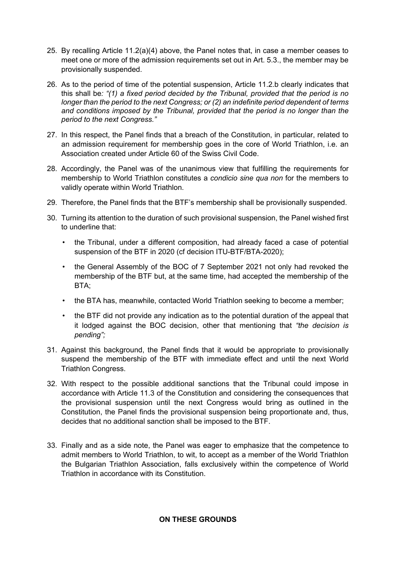- 25. By recalling Article  $11.2(a)(4)$  above, the Panel notes that, in case a member ceases to meet one or more of the admission requirements set out in Art. 5.3., the member may be provisionally suspended.
- 26. As to the period of time of the potential suspension, Article 11.2.b clearly indicates that this shall be*: "(1) a fixed period decided by the Tribunal, provided that the period is no longer than the period to the next Congress; or (2) an indefinite period dependent of terms and conditions imposed by the Tribunal, provided that the period is no longer than the period to the next Congress."*
- 27. In this respect, the Panel finds that a breach of the Constitution, in particular, related to an admission requirement for membership goes in the core of World Triathlon, i.e. an Association created under Article 60 of the Swiss Civil Code.
- 28. Accordingly, the Panel was of the unanimous view that fulfilling the requirements for membership to World Triathlon constitutes a *condicio sine qua non* for the members to validly operate within World Triathlon.
- 29. Therefore, the Panel finds that the BTF's membership shall be provisionally suspended.
- 30. Turning its attention to the duration of such provisional suspension, the Panel wished first to underline that:
	- the Tribunal, under a different composition, had already faced a case of potential suspension of the BTF in 2020 (cf decision ITU-BTF/BTA-2020);
	- the General Assembly of the BOC of 7 September 2021 not only had revoked the membership of the BTF but, at the same time, had accepted the membership of the BTA;
	- the BTA has, meanwhile, contacted World Triathlon seeking to become a member;
	- the BTF did not provide any indication as to the potential duration of the appeal that it lodged against the BOC decision, other that mentioning that *"the decision is pending";*
- 31. Against this background, the Panel finds that it would be appropriate to provisionally suspend the membership of the BTF with immediate effect and until the next World Triathlon Congress.
- 32. With respect to the possible additional sanctions that the Tribunal could impose in accordance with Article 11.3 of the Constitution and considering the consequences that the provisional suspension until the next Congress would bring as outlined in the Constitution, the Panel finds the provisional suspension being proportionate and, thus, decides that no additional sanction shall be imposed to the BTF.
- 33. Finally and as a side note, the Panel was eager to emphasize that the competence to admit members to World Triathlon, to wit, to accept as a member of the World Triathlon the Bulgarian Triathlon Association, falls exclusively within the competence of World Triathlon in accordance with its Constitution.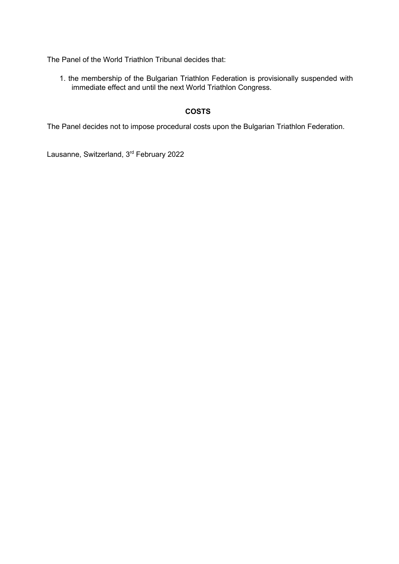The Panel of the World Triathlon Tribunal decides that:

1. the membership of the Bulgarian Triathlon Federation is provisionally suspended with immediate effect and until the next World Triathlon Congress.

# **COSTS**

The Panel decides not to impose procedural costs upon the Bulgarian Triathlon Federation.

Lausanne, Switzerland, 3rd February 2022